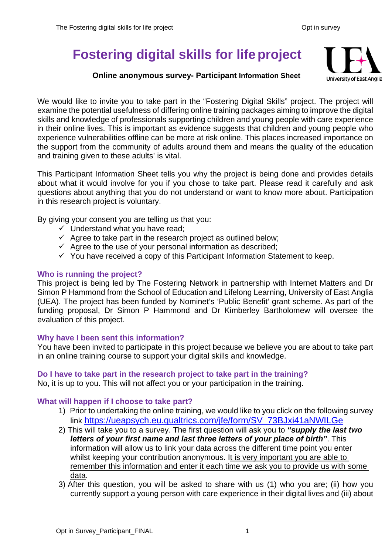# **Fostering digital skills for lifeproject**

# **Online anonymous survey- Participant Information Sheet**



We would like to invite you to take part in the "Fostering Digital Skills" project. The project will examine the potential usefulness of differing online training packages aiming to improve the digital skills and knowledge of professionals supporting children and young people with care experience in their online lives. This is important as evidence suggests that children and young people who experience vulnerabilities offline can be more at risk online. This places increased importance on the support from the community of adults around them and means the quality of the education and training given to these adults' is vital.

This Participant Information Sheet tells you why the project is being done and provides details about what it would involve for you if you chose to take part. Please read it carefully and ask questions about anything that you do not understand or want to know more about. Participation in this research project is voluntary.

By giving your consent you are telling us that you:

- $\checkmark$  Understand what you have read;
- $\checkmark$  Agree to take part in the research project as outlined below;
- $\checkmark$  Agree to the use of your personal information as described;
- $\checkmark$  You have received a copy of this Participant Information Statement to keep.

# **Who is running the project?**

This project is being led by The Fostering Network in partnership with Internet Matters and Dr Simon P Hammond from the School of Education and Lifelong Learning, University of East Anglia (UEA). The project has been funded by Nominet's 'Public Benefit' grant scheme. As part of the funding proposal, Dr Simon P Hammond and Dr Kimberley Bartholomew will oversee the evaluation of this project.

# **Why have I been sent this information?**

You have been invited to participate in this project because we believe you are about to take part in an online training course to support your digital skills and knowledge.

## **Do I have to take part in the research project to take part in the training?**

No, it is up to you. This will not affect you or your participation in the training.

## **What will happen if I choose to take part?**

- 1) Prior to undertaking the online training, we would like to you click on the following survey link [https://ueapsych.eu.qualtrics.com/jfe/form/SV\\_73BJxi41aNWILGe](https://ueapsych.eu.qualtrics.com/jfe/form/SV_73BJxi41aNWILGe)
- 2) This will take you to a survey. The first question will ask you to *"supply the last two letters of your first name and last three letters of your place of birth"*. This information will allow us to link your data across the different time point you enter whilst keeping your contribution anonymous. It is very important you are able to remember this information and enter it each time we ask you to provide us with some data.
- 3) After this question, you will be asked to share with us (1) who you are; (ii) how you currently support a young person with care experience in their digital lives and (iii) about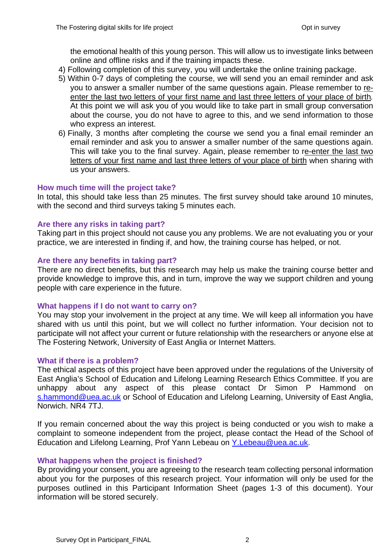the emotional health of this young person. This will allow us to investigate links between online and offline risks and if the training impacts these.

- 4) Following completion of this survey, you will undertake the online training package.
- 5) Within 0-7 days of completing the course, we will send you an email reminder and ask you to answer a smaller number of the same questions again. Please remember to reenter the last two letters of your first name and last three letters of your place of birth*.* At this point we will ask you of you would like to take part in small group conversation about the course, you do not have to agree to this, and we send information to those who express an interest.
- 6) Finally, 3 months after completing the course we send you a final email reminder an email reminder and ask you to answer a smaller number of the same questions again. This will take you to the final survey. Again, please remember to re-enter the last two letters of your first name and last three letters of your place of birth when sharing with us your answers.

#### **How much time will the project take?**

In total, this should take less than 25 minutes. The first survey should take around 10 minutes, with the second and third surveys taking 5 minutes each.

#### **Are there any risks in taking part?**

Taking part in this project should not cause you any problems. We are not evaluating you or your practice, we are interested in finding if, and how, the training course has helped, or not.

#### **Are there any benefits in taking part?**

There are no direct benefits, but this research may help us make the training course better and provide knowledge to improve this, and in turn, improve the way we support children and young people with care experience in the future.

#### **What happens if I do not want to carry on?**

You may stop your involvement in the project at any time. We will keep all information you have shared with us until this point, but we will collect no further information. Your decision not to participate will not affect your current or future relationship with the researchers or anyone else at The Fostering Network, University of East Anglia or Internet Matters.

#### **What if there is a problem?**

The ethical aspects of this project have been approved under the regulations of the University of East Anglia's School of Education and Lifelong Learning Research Ethics Committee. If you are unhappy about any aspect of this please contact Dr Simon P Hammond on [s.hammond@uea.ac.uk](mailto:s.hammond@uea.ac.uk) or School of Education and Lifelong Learning, University of East Anglia, Norwich. NR4 7TJ.

If you remain concerned about the way this project is being conducted or you wish to make a complaint to someone independent from the project, please contact the Head of the School of Education and Lifelong Learning, Prof Yann Lebeau on [Y.Lebeau@uea.ac.uk.](mailto:Y.Lebeau@uea.ac.uk)

#### **What happens when the project is finished?**

By providing your consent, you are agreeing to the research team collecting personal information about you for the purposes of this research project. Your information will only be used for the purposes outlined in this Participant Information Sheet (pages 1-3 of this document). Your information will be stored securely.